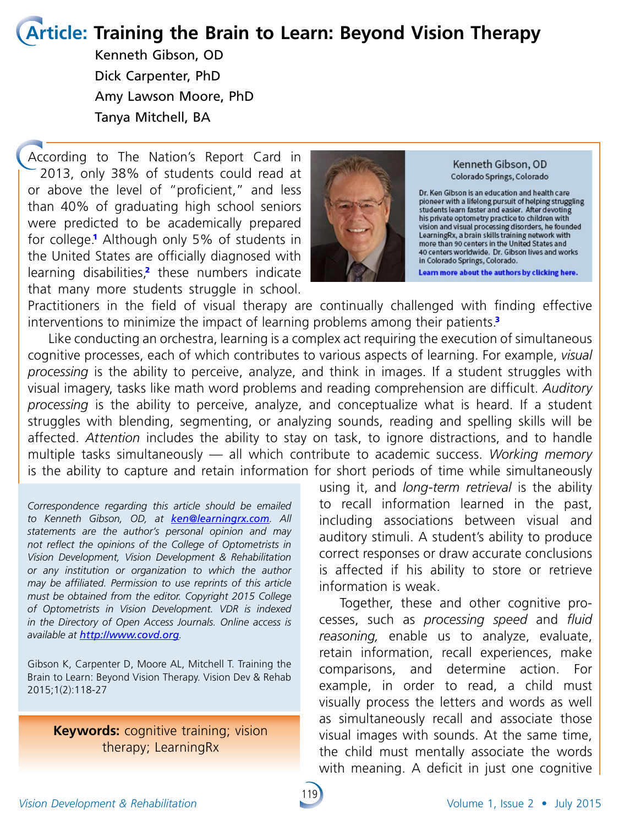# **Article: Training the Brain to Learn: Beyond Vision Therapy**

Kenneth Gibson, OD Dick Carpenter, PhD Amy Lawson Moore, PhD Tanya Mitchell, BA

According to The Nation's Report Card in 2013, only 38% of students could read at or above the level of "proficient," and less than 40% of graduating high school seniors were predicted to be academically prepared for college.<sup>1</sup> Although only 5% of students in the United States are officially diagnosed with learning disabilities,<sup>2</sup> these numbers indicate that many more students struggle in school.



Kenneth Gibson, OD Colorado Springs, Colorado

Dr. Ken Gibson is an education and health care pioneer with a lifelong pursuit of helping struggling students learn faster and easier. After devoting station is the optometry practice to children with<br>his private optometry practice to children with<br>vision and visual processing disorders, he founded<br>LearningRx, a brain skills training network with more than 90 centers in the United States and 40 centers worldwide. Dr. Gibson lives and works in Colorado Springs, Colorado.

Learn more about the authors by clicking here.

Practitioners in the field of visual therapy are continually challenged with finding effective interventions to minimize the impact of learning problems among their patients.<sup>3</sup>

Like conducting an orchestra, learning is a complex act requiring the execution of simultaneous cognitive processes, each of which contributes to various aspects of learning. For example, *visual processing* is the ability to perceive, analyze, and think in images. If a student struggles with visual imagery, tasks like math word problems and reading comprehension are difficult. *Auditory processing* is the ability to perceive, analyze, and conceptualize what is heard. If a student struggles with blending, segmenting, or analyzing sounds, reading and spelling skills will be affected. *Attention* includes the ability to stay on task, to ignore distractions, and to handle multiple tasks simultaneously — all which contribute to academic success. *Working memory* is the ability to capture and retain information for short periods of time while simultaneously

*Correspondence regarding this article should be emailed to Kenneth Gibson, OD, at ke[n@](mailto:amoore%40gibsonresearch.org?subject=)learningrx.com. All statements are the author's personal opinion and may not reflect the opinions of the College of Optometrists in Vision Development, Vision Development & Rehabilitation or any institution or organization to which the author may be affiliated. Permission to use reprints of this article must be obtained from the editor. Copyright 2015 College of Optometrists in Vision Development. VDR is indexed in the Directory of Open Access Journals. Online access is available at <http://www.covd.org>.*

Gibson K, Carpenter D, Moore AL, Mitchell T. Training the Brain to Learn: Beyond Vision Therapy. Vision Dev & Rehab 2015;1(2):118-27

**Keywords:** cognitive training; vision therapy; LearningRx

using it, and *long-term retrieval* is the ability to recall information learned in the past, including associations between visual and auditory stimuli. A student's ability to produce correct responses or draw accurate conclusions is affected if his ability to store or retrieve information is weak.

Together, these and other cognitive processes, such as *processing speed* and *fluid reasoning,* enable us to analyze, evaluate, retain information, recall experiences, make comparisons, and determine action. For example, in order to read, a child must visually process the letters and words as well as simultaneously recall and associate those visual images with sounds. At the same time, the child must mentally associate the words with meaning. A deficit in just one cognitive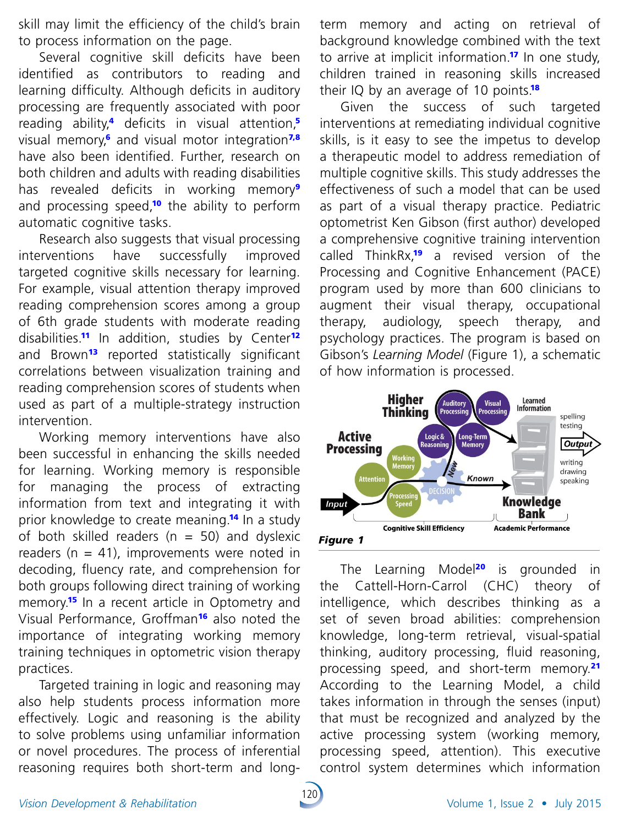skill may limit the efficiency of the child's brain to process information on the page.

Several cognitive skill deficits have been identified as contributors to reading and learning difficulty. Although deficits in auditory processing are frequently associated with poor reading ability,<sup>4</sup> deficits in visual attention,<sup>5</sup> visual memory,<sup>6</sup> and visual motor integration<sup>7,8</sup> have also been identified. Further, research on both children and adults with reading disabilities has revealed deficits in working memory<sup>9</sup> and processing speed,<sup>10</sup> the ability to perform automatic cognitive tasks.

Research also suggests that visual processing interventions have successfully improved targeted cognitive skills necessary for learning. For example, visual attention therapy improved reading comprehension scores among a group of 6th grade students with moderate reading disabilities.<sup>11</sup> In addition, studies by Center<sup>12</sup> and Brown<sup>13</sup> reported statistically significant correlations between visualization training and reading comprehension scores of students when used as part of a multiple-strategy instruction intervention.

Working memory interventions have also been successful in enhancing the skills needed for learning. Working memory is responsible for managing the process of extracting information from text and integrating it with prior knowledge to create meaning.<sup>14</sup> In a study of both skilled readers ( $n = 50$ ) and dyslexic readers ( $n = 41$ ), improvements were noted in decoding, fluency rate, and comprehension for both groups following direct training of working memory.<sup>15</sup> In a recent article in Optometry and Visual Performance, Groffman<sup>16</sup> also noted the importance of integrating working memory training techniques in optometric vision therapy practices.

Targeted training in logic and reasoning may also help students process information more effectively. Logic and reasoning is the ability to solve problems using unfamiliar information or novel procedures. The process of inferential reasoning requires both short-term and long-

120

term memory and acting on retrieval of background knowledge combined with the text to arrive at implicit information.<sup>17</sup> In one study, children trained in reasoning skills increased their IQ by an average of 10 points.<sup>18</sup>

Given the success of such targeted interventions at remediating individual cognitive skills, is it easy to see the impetus to develop a therapeutic model to address remediation of multiple cognitive skills. This study addresses the effectiveness of such a model that can be used as part of a visual therapy practice. Pediatric optometrist Ken Gibson (first author) developed a comprehensive cognitive training intervention called ThinkRx<sup>19</sup> a revised version of the Processing and Cognitive Enhancement (PACE) program used by more than 600 clinicians to augment their visual therapy, occupational therapy, audiology, speech therapy, and psychology practices. The program is based on Gibson's *Learning Model* (Figure 1), a schematic of how information is processed.



The Learning Model<sup>20</sup> is grounded in the Cattell-Horn-Carrol (CHC) theory of intelligence, which describes thinking as a set of seven broad abilities: comprehension knowledge, long-term retrieval, visual-spatial thinking, auditory processing, fluid reasoning, processing speed, and short-term memory.<sup>21</sup> According to the Learning Model, a child takes information in through the senses (input) that must be recognized and analyzed by the active processing system (working memory, processing speed, attention). This executive control system determines which information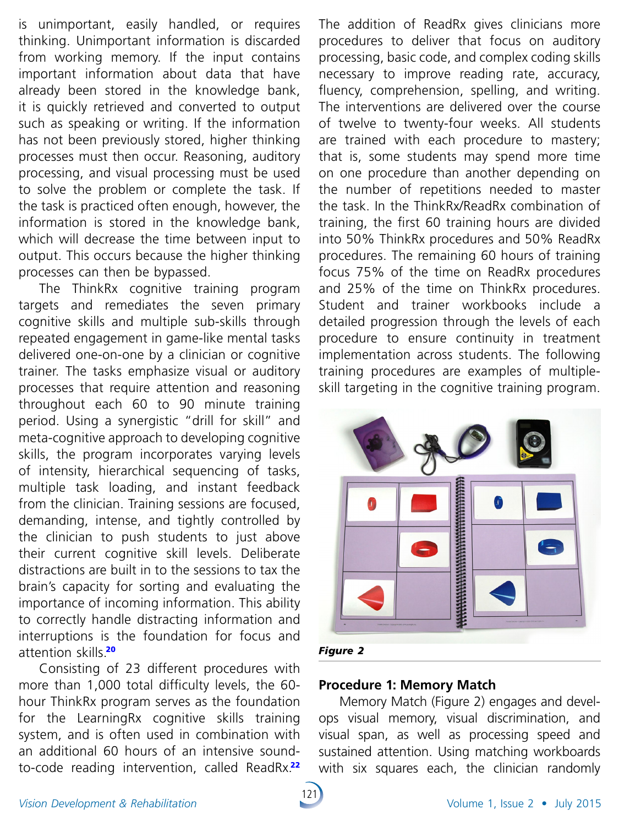is unimportant, easily handled, or requires thinking. Unimportant information is discarded from working memory. If the input contains important information about data that have already been stored in the knowledge bank, it is quickly retrieved and converted to output such as speaking or writing. If the information has not been previously stored, higher thinking processes must then occur. Reasoning, auditory processing, and visual processing must be used to solve the problem or complete the task. If the task is practiced often enough, however, the information is stored in the knowledge bank, which will decrease the time between input to output. This occurs because the higher thinking processes can then be bypassed.

The ThinkRx cognitive training program targets and remediates the seven primary cognitive skills and multiple sub-skills through repeated engagement in game-like mental tasks delivered one-on-one by a clinician or cognitive trainer. The tasks emphasize visual or auditory processes that require attention and reasoning throughout each 60 to 90 minute training period. Using a synergistic "drill for skill" and meta-cognitive approach to developing cognitive skills, the program incorporates varying levels of intensity, hierarchical sequencing of tasks, multiple task loading, and instant feedback from the clinician. Training sessions are focused, demanding, intense, and tightly controlled by the clinician to push students to just above their current cognitive skill levels. Deliberate distractions are built in to the sessions to tax the brain's capacity for sorting and evaluating the importance of incoming information. This ability to correctly handle distracting information and interruptions is the foundation for focus and attention skills.<sup>20</sup>

Consisting of 23 different procedures with more than 1,000 total difficulty levels, the 60hour ThinkRx program serves as the foundation for the LearningRx cognitive skills training system, and is often used in combination with an additional 60 hours of an intensive soundto-code reading intervention, called ReadRx.<sup>22</sup>

The addition of ReadRx gives clinicians more procedures to deliver that focus on auditory processing, basic code, and complex coding skills necessary to improve reading rate, accuracy, fluency, comprehension, spelling, and writing. The interventions are delivered over the course of twelve to twenty-four weeks. All students are trained with each procedure to mastery; that is, some students may spend more time on one procedure than another depending on the number of repetitions needed to master the task. In the ThinkRx/ReadRx combination of training, the first 60 training hours are divided into 50% ThinkRx procedures and 50% ReadRx procedures. The remaining 60 hours of training focus 75% of the time on ReadRx procedures and 25% of the time on ThinkRx procedures. Student and trainer workbooks include a detailed progression through the levels of each procedure to ensure continuity in treatment implementation across students. The following training procedures are examples of multipleskill targeting in the cognitive training program.



#### **Procedure 1: Memory Match**

Memory Match (Figure 2) engages and develops visual memory, visual discrimination, and visual span, as well as processing speed and sustained attention. Using matching workboards with six squares each, the clinician randomly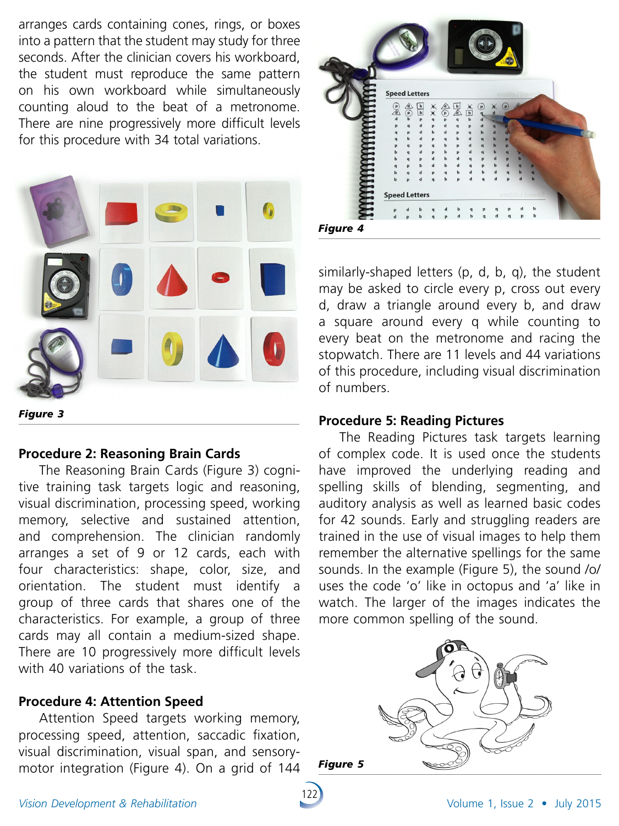arranges cards containing cones, rings, or boxes into a pattern that the student may study for three seconds. After the clinician covers his workboard, the student must reproduce the same pattern on his own workboard while simultaneously counting aloud to the beat of a metronome. There are nine progressively more difficult levels for this procedure with 34 total variations.



#### **Procedure 2: Reasoning Brain Cards**

The Reasoning Brain Cards (Figure 3) cognitive training task targets logic and reasoning, visual discrimination, processing speed, working memory, selective and sustained attention, and comprehension. The clinician randomly arranges a set of 9 or 12 cards, each with four characteristics: shape, color, size, and orientation. The student must identify a group of three cards that shares one of the characteristics. For example, a group of three cards may all contain a medium-sized shape. There are 10 progressively more difficult levels with 40 variations of the task.

#### **Procedure 4: Attention Speed**

Attention Speed targets working memory, processing speed, attention, saccadic fixation, visual discrimination, visual span, and sensorymotor integration (Figure 4). On a grid of 144



similarly-shaped letters (p, d, b, q), the student may be asked to circle every p, cross out every d, draw a triangle around every b, and draw a square around every q while counting to every beat on the metronome and racing the stopwatch. There are 11 levels and 44 variations of this procedure, including visual discrimination of numbers.

#### **Procedure 5: Reading Pictures**

The Reading Pictures task targets learning of complex code. It is used once the students have improved the underlying reading and spelling skills of blending, segmenting, and auditory analysis as well as learned basic codes for 42 sounds. Early and struggling readers are trained in the use of visual images to help them remember the alternative spellings for the same sounds. In the example (Figure 5), the sound /o/ uses the code 'o' like in octopus and 'a' like in watch. The larger of the images indicates the more common spelling of the sound.



*Figure 5*

122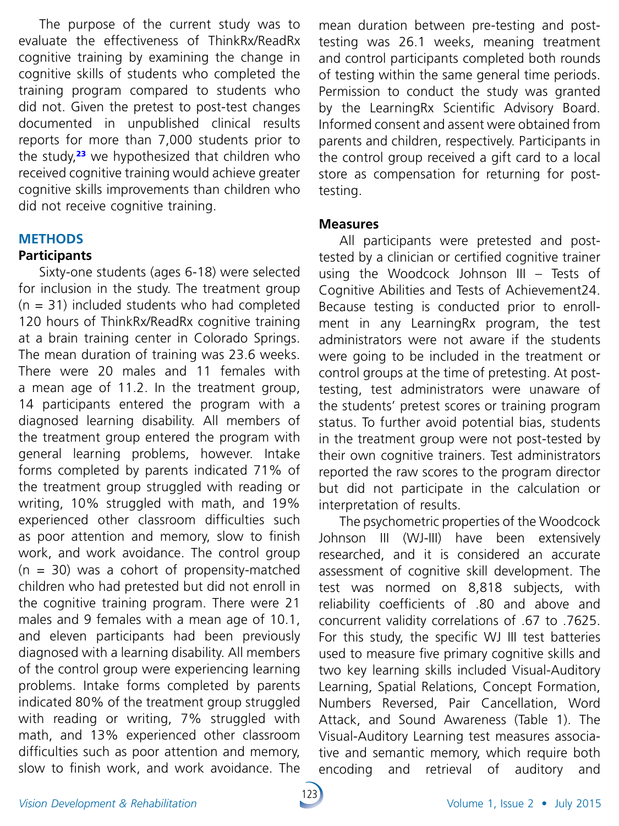The purpose of the current study was to evaluate the effectiveness of ThinkRx/ReadRx cognitive training by examining the change in cognitive skills of students who completed the training program compared to students who did not. Given the pretest to post-test changes documented in unpublished clinical results reports for more than 7,000 students prior to the study, $23$  we hypothesized that children who received cognitive training would achieve greater cognitive skills improvements than children who did not receive cognitive training.

### **METHODS**

# **Participants**

Sixty-one students (ages 6-18) were selected for inclusion in the study. The treatment group  $(n = 31)$  included students who had completed 120 hours of ThinkRx/ReadRx cognitive training at a brain training center in Colorado Springs. The mean duration of training was 23.6 weeks. There were 20 males and 11 females with a mean age of 11.2. In the treatment group, 14 participants entered the program with a diagnosed learning disability. All members of the treatment group entered the program with general learning problems, however. Intake forms completed by parents indicated 71% of the treatment group struggled with reading or writing, 10% struggled with math, and 19% experienced other classroom difficulties such as poor attention and memory, slow to finish work, and work avoidance. The control group  $(n = 30)$  was a cohort of propensity-matched children who had pretested but did not enroll in the cognitive training program. There were 21 males and 9 females with a mean age of 10.1, and eleven participants had been previously diagnosed with a learning disability. All members of the control group were experiencing learning problems. Intake forms completed by parents indicated 80% of the treatment group struggled with reading or writing, 7% struggled with math, and 13% experienced other classroom difficulties such as poor attention and memory, slow to finish work, and work avoidance. The

mean duration between pre-testing and posttesting was 26.1 weeks, meaning treatment and control participants completed both rounds of testing within the same general time periods. Permission to conduct the study was granted by the LearningRx Scientific Advisory Board. Informed consent and assent were obtained from parents and children, respectively. Participants in the control group received a gift card to a local store as compensation for returning for posttesting.

#### **Measures**

All participants were pretested and posttested by a clinician or certified cognitive trainer using the Woodcock Johnson III – Tests of Cognitive Abilities and Tests of Achievement24. Because testing is conducted prior to enrollment in any LearningRx program, the test administrators were not aware if the students were going to be included in the treatment or control groups at the time of pretesting. At posttesting, test administrators were unaware of the students' pretest scores or training program status. To further avoid potential bias, students in the treatment group were not post-tested by their own cognitive trainers. Test administrators reported the raw scores to the program director but did not participate in the calculation or interpretation of results.

The psychometric properties of the Woodcock Johnson III (WJ-III) have been extensively researched, and it is considered an accurate assessment of cognitive skill development. The test was normed on 8,818 subjects, with reliability coefficients of .80 and above and concurrent validity correlations of .67 to .7625. For this study, the specific WJ III test batteries used to measure five primary cognitive skills and two key learning skills included Visual-Auditory Learning, Spatial Relations, Concept Formation, Numbers Reversed, Pair Cancellation, Word Attack, and Sound Awareness (Table 1). The Visual-Auditory Learning test measures associative and semantic memory, which require both encoding and retrieval of auditory and

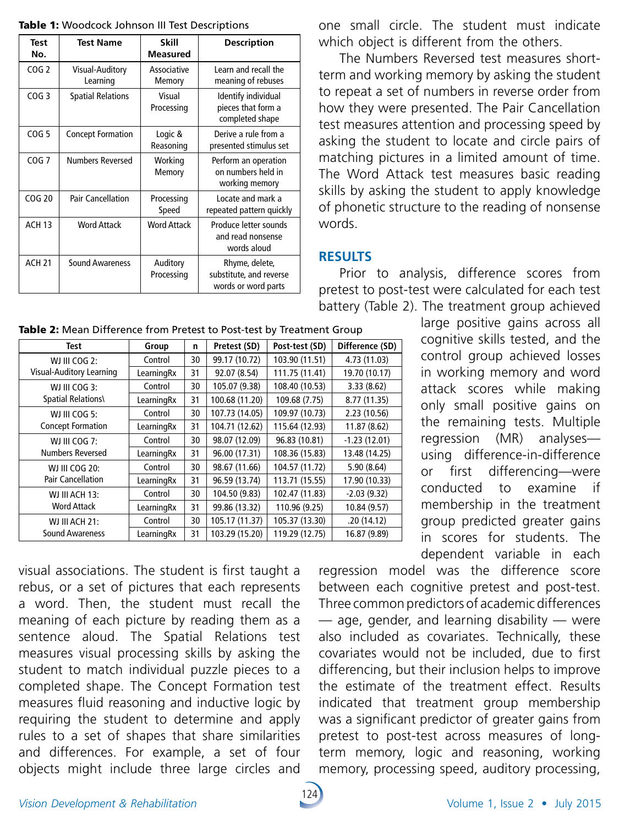| Table 1: Woodcock Johnson III Test Descriptions |
|-------------------------------------------------|
|-------------------------------------------------|

| <b>Test</b><br>No. | <b>Test Name</b>            | <b>Skill</b><br><b>Measured</b> | <b>Description</b>                                               |
|--------------------|-----------------------------|---------------------------------|------------------------------------------------------------------|
| COG <sub>2</sub>   | Visual-Auditory<br>Learning | Associative<br>Memory           | Learn and recall the<br>meaning of rebuses                       |
| COG <sub>3</sub>   | <b>Spatial Relations</b>    | Visual<br>Processing            | Identify individual<br>pieces that form a<br>completed shape     |
| COG <sub>5</sub>   | <b>Concept Formation</b>    | Logic &<br>Reasoning            | Derive a rule from a<br>presented stimulus set                   |
| COG <sub>7</sub>   | <b>Numbers Reversed</b>     | Working<br>Memory               | Perform an operation<br>on numbers held in<br>working memory     |
| COG 20             | <b>Pair Cancellation</b>    | Processing<br>Speed             | Locate and mark a<br>repeated pattern quickly                    |
| <b>ACH 13</b>      | <b>Word Attack</b>          | <b>Word Attack</b>              | Produce letter sounds<br>and read nonsense<br>words aloud        |
| <b>ACH 21</b>      | <b>Sound Awareness</b>      | Auditory<br>Processing          | Rhyme, delete,<br>substitute, and reverse<br>words or word parts |

one small circle. The student must indicate which object is different from the others.

The Numbers Reversed test measures shortterm and working memory by asking the student to repeat a set of numbers in reverse order from how they were presented. The Pair Cancellation test measures attention and processing speed by asking the student to locate and circle pairs of matching pictures in a limited amount of time. The Word Attack test measures basic reading skills by asking the student to apply knowledge of phonetic structure to the reading of nonsense words.

# **RESULTS**

Prior to analysis, difference scores from pretest to post-test were calculated for each test battery (Table 2). The treatment group achieved

| Test                                     | Group      | n  | Pretest (SD)   | Post-test (SD) | Difference (SD) |
|------------------------------------------|------------|----|----------------|----------------|-----------------|
| WJ III COG 2:                            | Control    | 30 | 99.17 (10.72)  | 103.90 (11.51) | 4.73 (11.03)    |
| Visual-Auditory Learning                 | LearningRx | 31 | 92.07 (8.54)   | 111.75 (11.41) | 19.70 (10.17)   |
| WJ III COG 3:                            | Control    | 30 | 105.07 (9.38)  | 108.40 (10.53) | 3.33(8.62)      |
| <b>Spatial Relations\</b>                | LearningRx | 31 | 100.68 (11.20) | 109.68 (7.75)  | 8.77 (11.35)    |
| WJ III COG 5:                            | Control    | 30 | 107.73 (14.05) | 109.97 (10.73) | 2.23 (10.56)    |
| <b>Concept Formation</b>                 | LearningRx | 31 | 104.71 (12.62) | 115.64 (12.93) | 11.87 (8.62)    |
| WJ III COG 7:                            | Control    | 30 | 98.07 (12.09)  | 96.83 (10.81)  | $-1.23(12.01)$  |
| <b>Numbers Reversed</b>                  | LearningRx | 31 | 96.00 (17.31)  | 108.36 (15.83) | 13.48 (14.25)   |
| WJ III COG 20:                           | Control    | 30 | 98.67 (11.66)  | 104.57 (11.72) | 5.90(8.64)      |
| <b>Pair Cancellation</b>                 | LearningRx | 31 | 96.59 (13.74)  | 113.71 (15.55) | 17.90 (10.33)   |
| WJ III ACH 13:                           | Control    | 30 | 104.50 (9.83)  | 102.47 (11.83) | $-2.03(9.32)$   |
| <b>Word Attack</b>                       | LearningRx | 31 | 99.86 (13.32)  | 110.96 (9.25)  | 10.84 (9.57)    |
| WJ III ACH 21:<br><b>Sound Awareness</b> | Control    | 30 | 105.17 (11.37) | 105.37 (13.30) | .20(14.12)      |
|                                          | LearningRx | 31 | 103.29 (15.20) | 119.29 (12.75) | 16.87 (9.89)    |

Table 2: Mean Difference from Pretest to Post-test by Treatment Group

large positive gains across all cognitive skills tested, and the control group achieved losses in working memory and word attack scores while making only small positive gains on the remaining tests. Multiple regression (MR) analyses using difference-in-difference or first differencing—were conducted to examine if membership in the treatment group predicted greater gains in scores for students. The dependent variable in each

visual associations. The student is first taught a rebus, or a set of pictures that each represents a word. Then, the student must recall the meaning of each picture by reading them as a sentence aloud. The Spatial Relations test measures visual processing skills by asking the student to match individual puzzle pieces to a completed shape. The Concept Formation test measures fluid reasoning and inductive logic by requiring the student to determine and apply rules to a set of shapes that share similarities and differences. For example, a set of four objects might include three large circles and

regression model was the difference score between each cognitive pretest and post-test. Three common predictors of academic differences  $-$  age, gender, and learning disability  $-$  were also included as covariates. Technically, these covariates would not be included, due to first differencing, but their inclusion helps to improve the estimate of the treatment effect. Results indicated that treatment group membership was a significant predictor of greater gains from pretest to post-test across measures of longterm memory, logic and reasoning, working memory, processing speed, auditory processing,

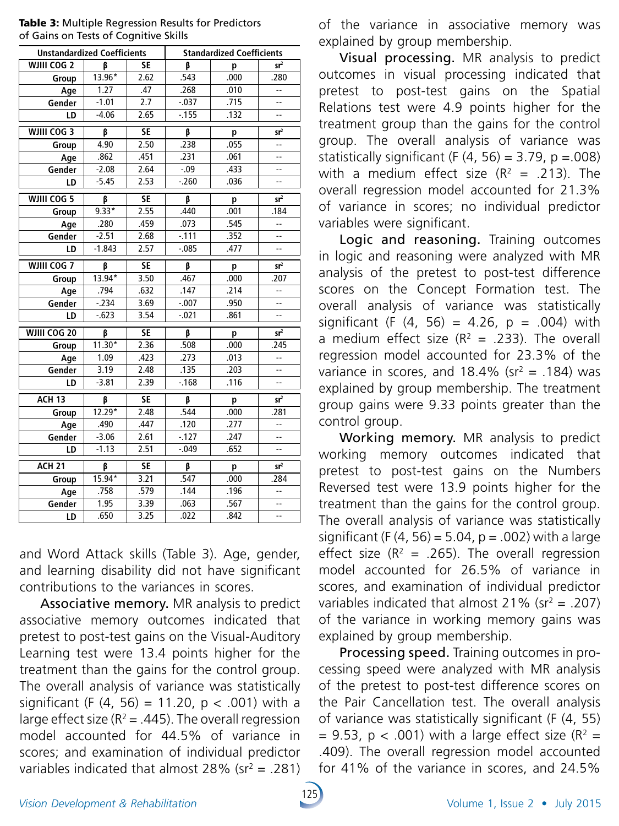| <b>Unstandardized Coefficients</b> |          |           | <b>Standardized Coefficients</b> |      |                          |  |
|------------------------------------|----------|-----------|----------------------------------|------|--------------------------|--|
| <b>WJIII COG 2</b>                 | β        | <b>SE</b> | β                                | p    | sr <sup>2</sup>          |  |
| Group                              | 13.96*   | 2.62      | .543                             | .000 | .280                     |  |
| Age                                | 1.27     | .47       | .268                             | .010 | Ξ.                       |  |
| Gender                             | $-1.01$  | 2.7       | $-0.037$                         | .715 | --                       |  |
| LD                                 | $-4.06$  | 2.65      | $-155$                           | .132 | $-$                      |  |
| WJIII COG 3                        | β        | <b>SE</b> | β                                | p    | sr <sup>2</sup>          |  |
| Group                              | 4.90     | 2.50      | .238                             | .055 | --                       |  |
| Age                                | .862     | .451      | .231                             | .061 | --                       |  |
| Gender                             | $-2.08$  | 2.64      | $-.09$                           | .433 | $-$                      |  |
| LD                                 | $-5.45$  | 2.53      | $-260$                           | .036 | --                       |  |
| WJIII COG 5                        | β        | <b>SE</b> | β                                | p    | sr <sup>2</sup>          |  |
| Group                              | $9.33*$  | 2.55      | .440                             | .001 | .184                     |  |
| Age                                | .280     | .459      | .073                             | .545 | --                       |  |
| Gender                             | $-2.51$  | 2.68      | $-111$                           | .352 | --                       |  |
| LD                                 | $-1.843$ | 2.57      | $-0.085$                         | .477 | 44                       |  |
| WJIII COG 7                        | β        | <b>SE</b> | β                                | p    | sr <sup>2</sup>          |  |
| Group                              | $13.94*$ | 3.50      | .467                             | .000 | .207                     |  |
| Age                                | .794     | .632      | .147                             | .214 | $\overline{\phantom{a}}$ |  |
| Gender                             | $-234$   | 3.69      | $-0.007$                         | .950 | $\overline{\phantom{a}}$ |  |
| LD                                 | $-623$   | 3.54      | $-0.021$                         | .861 | $\overline{\phantom{a}}$ |  |
| WJIII COG 20                       | β        | <b>SE</b> | β                                | p    | sr <sup>2</sup>          |  |
| Group                              | $11.30*$ | 2.36      | .508                             | .000 | .245                     |  |
| Age                                | 1.09     | .423      | .273                             | .013 | $\overline{a}$           |  |
| Gender                             | 3.19     | 2.48      | .135                             | .203 |                          |  |
| LD                                 | $-3.81$  | 2.39      | $-168$                           | .116 |                          |  |
| $ACH$ 13                           | β        | <b>SE</b> | β                                | p    | sr <sup>2</sup>          |  |
| Group                              | $12.29*$ | 2.48      | .544                             | .000 | .281                     |  |
| Age                                | .490     | .447      | .120                             | .277 | Ξ.                       |  |
| Gender                             | $-3.06$  | 2.61      | $-127$                           | .247 | --                       |  |
| LD                                 | $-1.13$  | 2.51      | $-0.049$                         | .652 | --                       |  |
| ACH <sub>21</sub>                  | β        | <b>SE</b> | $\overline{\beta}$               | p    | sr <sup>2</sup>          |  |
| Group                              | $15.94*$ | 3.21      | .547                             | .000 | .284                     |  |
| Age                                | .758     | .579      | .144                             | .196 | 44                       |  |
| Gender                             | 1.95     | 3.39      | .063                             | .567 | --                       |  |
| LD                                 | .650     | 3.25      | .022                             | .842 |                          |  |

Table 3: Multiple Regression Results for Predictors of Gains on Tests of Cognitive Skills

and Word Attack skills (Table 3). Age, gender, and learning disability did not have significant contributions to the variances in scores.

Associative memory. MR analysis to predict associative memory outcomes indicated that pretest to post-test gains on the Visual-Auditory Learning test were 13.4 points higher for the treatment than the gains for the control group. The overall analysis of variance was statistically significant (F  $(4, 56) = 11.20$ ,  $p < .001$ ) with a large effect size ( $R^2$  = .445). The overall regression model accounted for 44.5% of variance in scores; and examination of individual predictor variables indicated that almost  $28\%$  (sr<sup>2</sup> = .281) of the variance in associative memory was explained by group membership.

Visual processing. MR analysis to predict outcomes in visual processing indicated that pretest to post-test gains on the Spatial Relations test were 4.9 points higher for the treatment group than the gains for the control group. The overall analysis of variance was statistically significant (F  $(4, 56) = 3.79$ , p = 008) with a medium effect size  $(R^2 = .213)$ . The overall regression model accounted for 21.3% of variance in scores; no individual predictor variables were significant.

Logic and reasoning. Training outcomes in logic and reasoning were analyzed with MR analysis of the pretest to post-test difference scores on the Concept Formation test. The overall analysis of variance was statistically significant (F  $(4, 56) = 4.26$ , p = .004) with a medium effect size  $(R^2 = .233)$ . The overall regression model accounted for 23.3% of the variance in scores, and  $18.4\%$  (sr<sup>2</sup> = .184) was explained by group membership. The treatment group gains were 9.33 points greater than the control group.

Working memory. MR analysis to predict working memory outcomes indicated that pretest to post-test gains on the Numbers Reversed test were 13.9 points higher for the treatment than the gains for the control group. The overall analysis of variance was statistically significant (F (4, 56) = 5.04,  $p = .002$ ) with a large effect size ( $R^2$  = .265). The overall regression model accounted for 26.5% of variance in scores, and examination of individual predictor variables indicated that almost  $21\%$  (sr<sup>2</sup> = .207) of the variance in working memory gains was explained by group membership.

Processing speed. Training outcomes in processing speed were analyzed with MR analysis of the pretest to post-test difference scores on the Pair Cancellation test. The overall analysis of variance was statistically significant (F (4, 55)  $= 9.53$ , p < .001) with a large effect size (R<sup>2</sup>  $=$ .409). The overall regression model accounted for 41% of the variance in scores, and 24.5%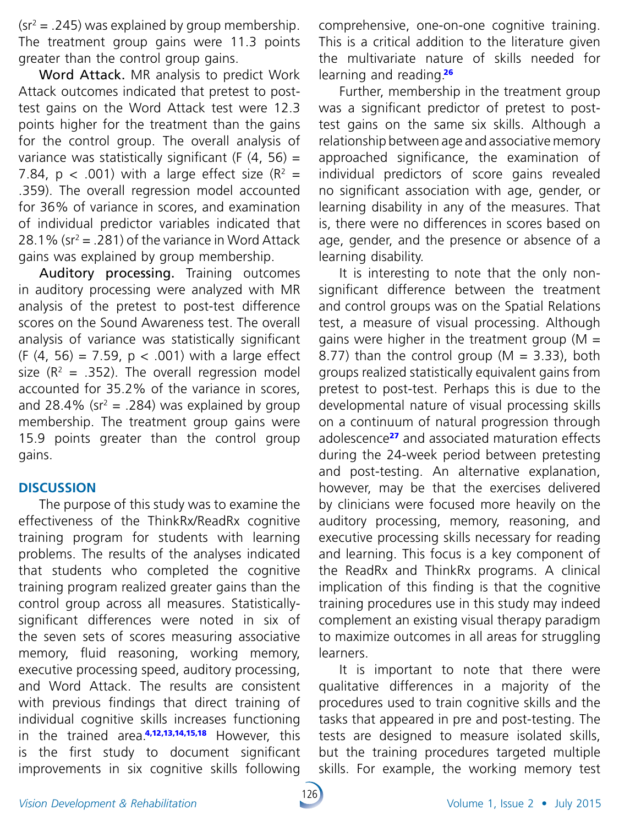$\text{(sr}^2 = .245)$  was explained by group membership. The treatment group gains were 11.3 points greater than the control group gains.

Word Attack. MR analysis to predict Work Attack outcomes indicated that pretest to posttest gains on the Word Attack test were 12.3 points higher for the treatment than the gains for the control group. The overall analysis of variance was statistically significant (F  $(4, 56)$  = 7.84,  $p < .001$ ) with a large effect size ( $R^2 =$ .359). The overall regression model accounted for 36% of variance in scores, and examination of individual predictor variables indicated that 28.1% ( $sr^2 = .281$ ) of the variance in Word Attack gains was explained by group membership.

Auditory processing. Training outcomes in auditory processing were analyzed with MR analysis of the pretest to post-test difference scores on the Sound Awareness test. The overall analysis of variance was statistically significant (F  $(4, 56) = 7.59$ ,  $p < .001$ ) with a large effect size  $(R^2 = .352)$ . The overall regression model accounted for 35.2% of the variance in scores, and 28.4% ( $sr^2 = .284$ ) was explained by group membership. The treatment group gains were 15.9 points greater than the control group gains.

## **DISCUSSION**

The purpose of this study was to examine the effectiveness of the ThinkRx/ReadRx cognitive training program for students with learning problems. The results of the analyses indicated that students who completed the cognitive training program realized greater gains than the control group across all measures. Statisticallysignificant differences were noted in six of the seven sets of scores measuring associative memory, fluid reasoning, working memory, executive processing speed, auditory processing, and Word Attack. The results are consistent with previous findings that direct training of individual cognitive skills increases functioning in the trained area $4,12,13,14,15,18$  However, this is the first study to document significant improvements in six cognitive skills following

comprehensive, one-on-one cognitive training. This is a critical addition to the literature given the multivariate nature of skills needed for learning and reading.<sup>26</sup>

Further, membership in the treatment group was a significant predictor of pretest to posttest gains on the same six skills. Although a relationship between age and associative memory approached significance, the examination of individual predictors of score gains revealed no significant association with age, gender, or learning disability in any of the measures. That is, there were no differences in scores based on age, gender, and the presence or absence of a learning disability.

It is interesting to note that the only nonsignificant difference between the treatment and control groups was on the Spatial Relations test, a measure of visual processing. Although gains were higher in the treatment group ( $M =$ 8.77) than the control group ( $M = 3.33$ ), both groups realized statistically equivalent gains from pretest to post-test. Perhaps this is due to the developmental nature of visual processing skills on a continuum of natural progression through adolescence<sup>27</sup> and associated maturation effects during the 24-week period between pretesting and post-testing. An alternative explanation, however, may be that the exercises delivered by clinicians were focused more heavily on the auditory processing, memory, reasoning, and executive processing skills necessary for reading and learning. This focus is a key component of the ReadRx and ThinkRx programs. A clinical implication of this finding is that the cognitive training procedures use in this study may indeed complement an existing visual therapy paradigm to maximize outcomes in all areas for struggling learners.

It is important to note that there were qualitative differences in a majority of the procedures used to train cognitive skills and the tasks that appeared in pre and post-testing. The tests are designed to measure isolated skills, but the training procedures targeted multiple skills. For example, the working memory test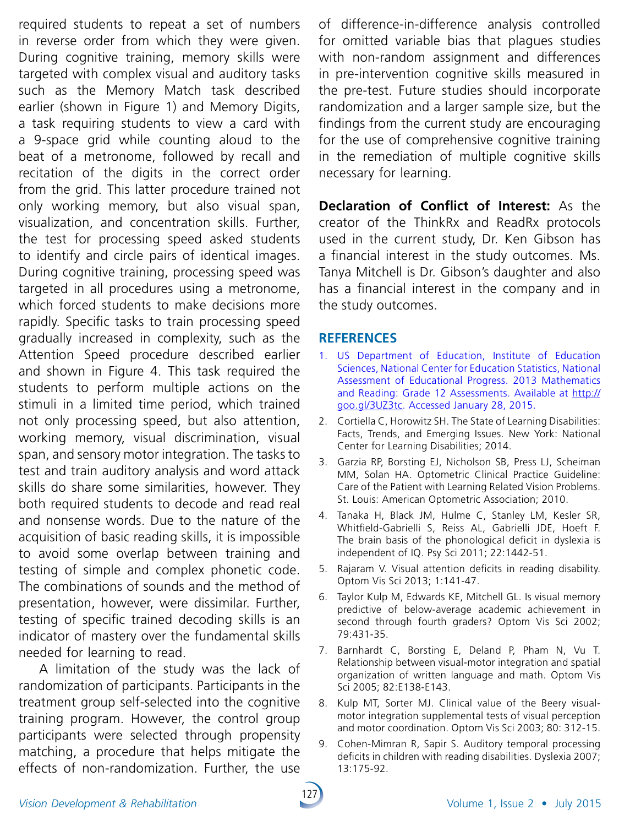required students to repeat a set of numbers in reverse order from which they were given. During cognitive training, memory skills were targeted with complex visual and auditory tasks such as the Memory Match task described earlier (shown in Figure 1) and Memory Digits, a task requiring students to view a card with a 9-space grid while counting aloud to the beat of a metronome, followed by recall and recitation of the digits in the correct order from the grid. This latter procedure trained not only working memory, but also visual span, visualization, and concentration skills. Further, the test for processing speed asked students to identify and circle pairs of identical images. During cognitive training, processing speed was targeted in all procedures using a metronome, which forced students to make decisions more rapidly. Specific tasks to train processing speed gradually increased in complexity, such as the Attention Speed procedure described earlier and shown in Figure 4. This task required the students to perform multiple actions on the stimuli in a limited time period, which trained not only processing speed, but also attention, working memory, visual discrimination, visual span, and sensory motor integration. The tasks to test and train auditory analysis and word attack skills do share some similarities, however. They both required students to decode and read real and nonsense words. Due to the nature of the acquisition of basic reading skills, it is impossible to avoid some overlap between training and testing of simple and complex phonetic code. The combinations of sounds and the method of presentation, however, were dissimilar. Further, testing of specific trained decoding skills is an indicator of mastery over the fundamental skills needed for learning to read.

A limitation of the study was the lack of randomization of participants. Participants in the treatment group self-selected into the cognitive training program. However, the control group participants were selected through propensity matching, a procedure that helps mitigate the effects of non-randomization. Further, the use

of difference-in-difference analysis controlled for omitted variable bias that plagues studies with non-random assignment and differences in pre-intervention cognitive skills measured in the pre-test. Future studies should incorporate randomization and a larger sample size, but the findings from the current study are encouraging for the use of comprehensive cognitive training in the remediation of multiple cognitive skills necessary for learning.

**Declaration of Conflict of Interest:** As the creator of the ThinkRx and ReadRx protocols used in the current study, Dr. Ken Gibson has a financial interest in the study outcomes. Ms. Tanya Mitchell is Dr. Gibson's daughter and also has a financial interest in the company and in the study outcomes.

### **References**

- 1. US Department of Education, Institute of Education Sciences, National Center for Education Statistics, National Assessment of Educational Progress. 2013 Mathematics and Reading: Grade 12 Assessments. Available at [http://](http://goo.gl/3UZ3tc) [goo.gl/3UZ3tc](http://goo.gl/3UZ3tc). Accessed January 28, 2015.
- 2. Cortiella C, Horowitz SH. The State of Learning Disabilities: Facts, Trends, and Emerging Issues. New York: National Center for Learning Disabilities; 2014.
- 3. Garzia RP, Borsting EJ, Nicholson SB, Press LJ, Scheiman MM, Solan HA. Optometric Clinical Practice Guideline: Care of the Patient with Learning Related Vision Problems. St. Louis: American Optometric Association; 2010.
- 4. Tanaka H, Black JM, Hulme C, Stanley LM, Kesler SR, Whitfield-Gabrielli S, Reiss AL, Gabrielli JDE, Hoeft F. The brain basis of the phonological deficit in dyslexia is independent of IQ. Psy Sci 2011; 22:1442-51.
- 5. Rajaram V. Visual attention deficits in reading disability. Optom Vis Sci 2013; 1:141-47.
- 6. Taylor Kulp M, Edwards KE, Mitchell GL. Is visual memory predictive of below-average academic achievement in second through fourth graders? Optom Vis Sci 2002; 79:431-35.
- 7. Barnhardt C, Borsting E, Deland P, Pham N, Vu T. Relationship between visual-motor integration and spatial organization of written language and math. Optom Vis Sci 2005; 82:E138-E143.
- 8. Kulp MT, Sorter MJ. Clinical value of the Beery visualmotor integration supplemental tests of visual perception and motor coordination. Optom Vis Sci 2003; 80: 312-15.
- 9. Cohen-Mimran R, Sapir S. Auditory temporal processing deficits in children with reading disabilities. Dyslexia 2007; 13:175-92.